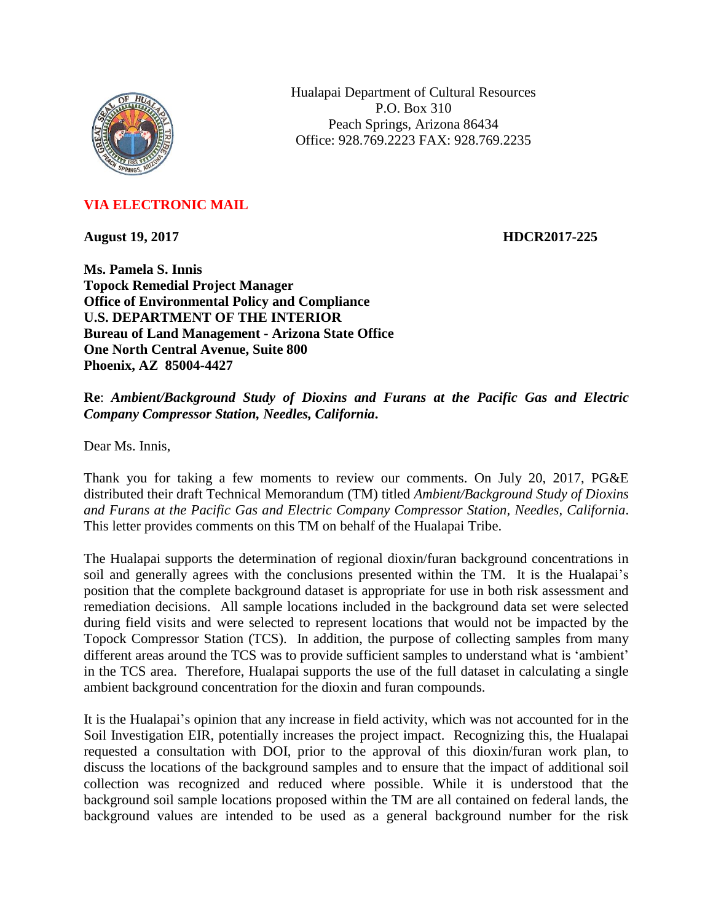

Hualapai Department of Cultural Resources P.O. Box 310 Peach Springs, Arizona 86434 Office: 928.769.2223 FAX: 928.769.2235

## **VIA ELECTRONIC MAIL**

**August 19, 2017 HDCR2017-225**

**Ms. Pamela S. Innis Topock Remedial Project Manager Office of Environmental Policy and Compliance U.S. DEPARTMENT OF THE INTERIOR Bureau of Land Management - Arizona State Office One North Central Avenue, Suite 800 Phoenix, AZ 85004-4427**

**Re**: *Ambient/Background Study of Dioxins and Furans at the Pacific Gas and Electric Company Compressor Station, Needles, California***.**

Dear Ms. Innis,

Thank you for taking a few moments to review our comments. On July 20, 2017, PG&E distributed their draft Technical Memorandum (TM) titled *Ambient/Background Study of Dioxins and Furans at the Pacific Gas and Electric Company Compressor Station, Needles, California*. This letter provides comments on this TM on behalf of the Hualapai Tribe.

The Hualapai supports the determination of regional dioxin/furan background concentrations in soil and generally agrees with the conclusions presented within the TM. It is the Hualapai's position that the complete background dataset is appropriate for use in both risk assessment and remediation decisions. All sample locations included in the background data set were selected during field visits and were selected to represent locations that would not be impacted by the Topock Compressor Station (TCS). In addition, the purpose of collecting samples from many different areas around the TCS was to provide sufficient samples to understand what is 'ambient' in the TCS area. Therefore, Hualapai supports the use of the full dataset in calculating a single ambient background concentration for the dioxin and furan compounds.

It is the Hualapai's opinion that any increase in field activity, which was not accounted for in the Soil Investigation EIR, potentially increases the project impact. Recognizing this, the Hualapai requested a consultation with DOI, prior to the approval of this dioxin/furan work plan, to discuss the locations of the background samples and to ensure that the impact of additional soil collection was recognized and reduced where possible. While it is understood that the background soil sample locations proposed within the TM are all contained on federal lands, the background values are intended to be used as a general background number for the risk